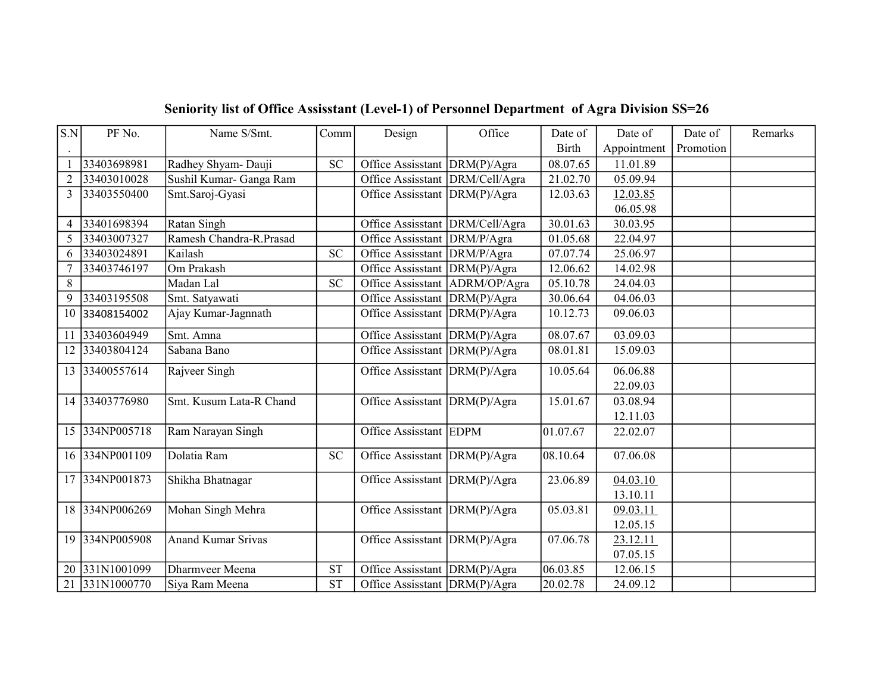| S.N            | PF No.         | Name S/Smt.               | Comm       | Design                           | Office      | Date of      | Date of              | Date of   | Remarks |
|----------------|----------------|---------------------------|------------|----------------------------------|-------------|--------------|----------------------|-----------|---------|
|                |                |                           |            |                                  |             | <b>Birth</b> | Appointment          | Promotion |         |
|                | 33403698981    | Radhey Shyam- Dauji       | <b>SC</b>  | Office Assisstant  DRM(P)/Agra   |             | 08.07.65     | 11.01.89             |           |         |
| 2              | 33403010028    | Sushil Kumar- Ganga Ram   |            | Office Assisstant DRM/Cell/Agra  |             | 21.02.70     | 05.09.94             |           |         |
| $\mathcal{E}$  | 33403550400    | Smt.Saroj-Gyasi           |            | Office Assisstant DRM(P)/Agra    |             | 12.03.63     | 12.03.85             |           |         |
|                |                |                           |            |                                  |             |              | 06.05.98             |           |         |
| $\overline{4}$ | 33401698394    | Ratan Singh               |            | Office Assisstant DRM/Cell/Agra  |             | 30.01.63     | 30.03.95             |           |         |
| 5              | 33403007327    | Ramesh Chandra-R.Prasad   |            | Office Assisstant DRM/P/Agra     |             | 01.05.68     | 22.04.97             |           |         |
| 6              | 33403024891    | Kailash                   | <b>SC</b>  | Office Assisstant DRM/P/Agra     |             | 07.07.74     | 25.06.97             |           |         |
|                | 33403746197    | Om Prakash                |            | Office Assisstant DRM(P)/Agra    |             | 12.06.62     | 14.02.98             |           |         |
| 8              |                | Madan Lal                 | <b>SC</b>  | Office Assisstant   ADRM/OP/Agra |             | 05.10.78     | 24.04.03             |           |         |
| 9              | 33403195508    | Smt. Satyawati            |            | Office Assisstant DRM(P)/Agra    |             | 30.06.64     | 04.06.03             |           |         |
| 10             | 33408154002    | Ajay Kumar-Jagnnath       |            | Office Assisstant                | DRM(P)/Agra | 10.12.73     | 09.06.03             |           |         |
|                | 11 33403604949 | Smt. Amna                 |            | Office Assisstant   DRM(P)/Agra  |             | 08.07.67     | 03.09.03             |           |         |
| 12             | 33403804124    | Sabana Bano               |            | Office Assisstant DRM(P)/Agra    |             | 08.01.81     | 15.09.03             |           |         |
|                | 13 33400557614 | Rajveer Singh             |            | Office Assisstant DRM(P)/Agra    |             | 10.05.64     | 06.06.88             |           |         |
|                |                |                           |            |                                  |             |              | 22.09.03             |           |         |
|                | 14 33403776980 | Smt. Kusum Lata-R Chand   |            | Office Assisstant DRM(P)/Agra    |             | 15.01.67     | 03.08.94             |           |         |
|                |                |                           |            |                                  |             |              | 12.11.03             |           |         |
|                | 15 334NP005718 | Ram Narayan Singh         |            | Office Assisstant EDPM           |             | 01.07.67     | 22.02.07             |           |         |
|                | 16 334NP001109 | Dolatia Ram               | ${\rm SC}$ | Office Assisstant DRM(P)/Agra    |             | 08.10.64     | 07.06.08             |           |         |
|                | 17 334NP001873 | Shikha Bhatnagar          |            |                                  |             | 23.06.89     |                      |           |         |
|                |                |                           |            | Office Assisstant DRM(P)/Agra    |             |              | 04.03.10<br>13.10.11 |           |         |
|                | 18 334NP006269 | Mohan Singh Mehra         |            | Office Assisstant $DRM(P)/Agra$  |             | 05.03.81     | 09.03.11             |           |         |
|                |                |                           |            |                                  |             |              | 12.05.15             |           |         |
|                | 19 334NP005908 |                           |            |                                  |             |              |                      |           |         |
|                |                | <b>Anand Kumar Srivas</b> |            | Office Assisstant   DRM(P)/Agra  |             | 07.06.78     | 23.12.11             |           |         |
| 20             | 331N1001099    |                           | <b>ST</b>  |                                  |             | 06.03.85     | 07.05.15             |           |         |
|                |                | Dharmveer Meena           |            | Office Assisstant DRM(P)/Agra    |             |              | 12.06.15             |           |         |
| 21             | 331N1000770    | Siya Ram Meena            | <b>ST</b>  | Office Assisstant DRM(P)/Agra    |             | 20.02.78     | 24.09.12             |           |         |

## Seniority list of Office Assisstant (Level-1) of Personnel Department of Agra Division SS=26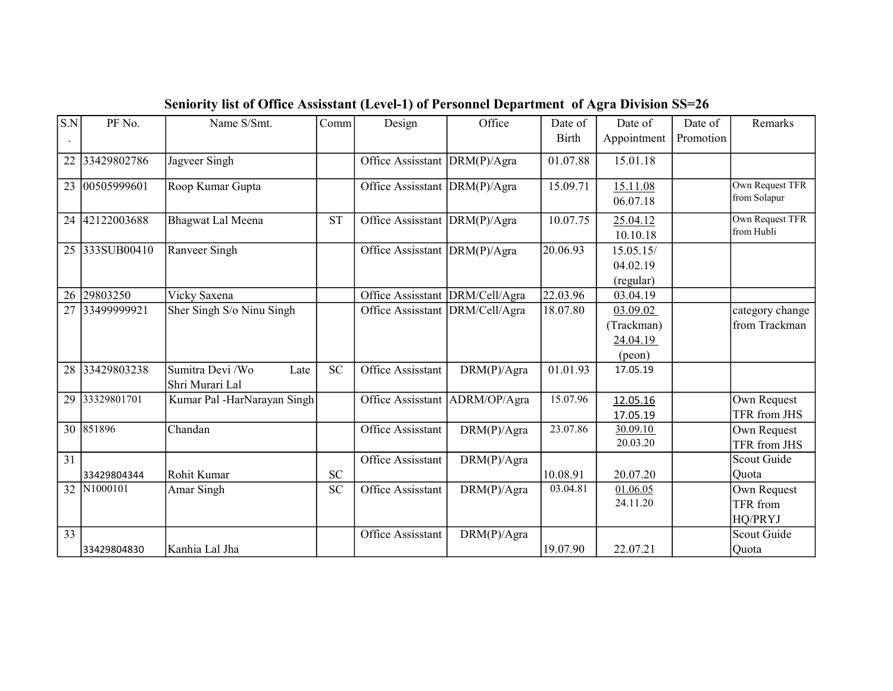| S.N             | PF No.      | Name S/Smt.                                 | Comm      | Design                          | Office        | Date of      | Date of                                            | Date of   | Remarks                                   |
|-----------------|-------------|---------------------------------------------|-----------|---------------------------------|---------------|--------------|----------------------------------------------------|-----------|-------------------------------------------|
|                 |             |                                             |           |                                 |               | <b>Birth</b> | Appointment                                        | Promotion |                                           |
| 22              | 33429802786 | Jagveer Singh                               |           | Office Assisstant               | DRM(P)/Agra   | 01.07.88     | 15.01.18                                           |           |                                           |
| 23              | 00505999601 | Roop Kumar Gupta                            |           | Office Assisstant   DRM(P)/Agra |               | 15.09.71     | 15.11.08<br>06.07.18                               |           | <b>Own Request TFR</b><br>from Solapur    |
| 24              | 42122003688 | Bhagwat Lal Meena                           | <b>ST</b> | Office Assisstant DRM(P)/Agra   |               | 10.07.75     | 25.04.12<br>10.10.18                               |           | Own Request TFR<br>from Hubli             |
| 25              | 333SUB00410 | Ranveer Singh                               |           | Office Assisstant               | DRM(P)/Agra   | 20.06.93     | 15.05.15/<br>04.02.19<br>(regular)                 |           |                                           |
| 26              | 29803250    | Vicky Saxena                                |           | Office Assisstant               | DRM/Cell/Agra | 22.03.96     | 03.04.19                                           |           |                                           |
| 27              | 33499999921 | Sher Singh S/o Ninu Singh                   |           | Office Assisstant               | DRM/Cell/Agra | 18.07.80     | 03.09.02<br>(Trackman)<br>24.04.19<br>$($ peon $)$ |           | category change<br>from Trackman          |
| 28              | 33429803238 | Sumitra Devi /Wo<br>Late<br>Shri Murari Lal | <b>SC</b> | Office Assisstant               | DRM(P)/Agra   | 01.01.93     | 17.05.19                                           |           |                                           |
| 29              | 33329801701 | Kumar Pal -HarNarayan Singh                 |           | Office Assisstant               | ADRM/OP/Agra  | 15.07.96     | 12.05.16<br>17.05.19                               |           | Own Request<br>TFR from JHS               |
|                 | 30 851896   | Chandan                                     |           | Office Assisstant               | DRM(P)/Agra   | 23.07.86     | 30.09.10<br>20.03.20                               |           | Own Request<br>TFR from JHS               |
| 31              |             |                                             |           | Office Assisstant               | DRM(P)/Agra   |              |                                                    |           | Scout Guide                               |
|                 | 33429804344 | Rohit Kumar                                 | <b>SC</b> |                                 |               | 10.08.91     | 20.07.20                                           |           | Quota                                     |
| 32              | N1000101    | Amar Singh                                  | <b>SC</b> | Office Assisstant               | DRM(P)/Agra   | 03.04.81     | 01.06.05<br>24.11.20                               |           | Own Request<br><b>TFR</b> from<br>HQ/PRYJ |
| $\overline{33}$ |             |                                             |           | Office Assisstant               | DRM(P)/Agra   |              |                                                    |           | Scout Guide                               |
|                 | 33429804830 | Kanhia Lal Jha                              |           |                                 |               | 19.07.90     | 22.07.21                                           |           | Quota                                     |

Seniority list of Office Assisstant (Level-1) of Personnel Department of Agra Division SS=26